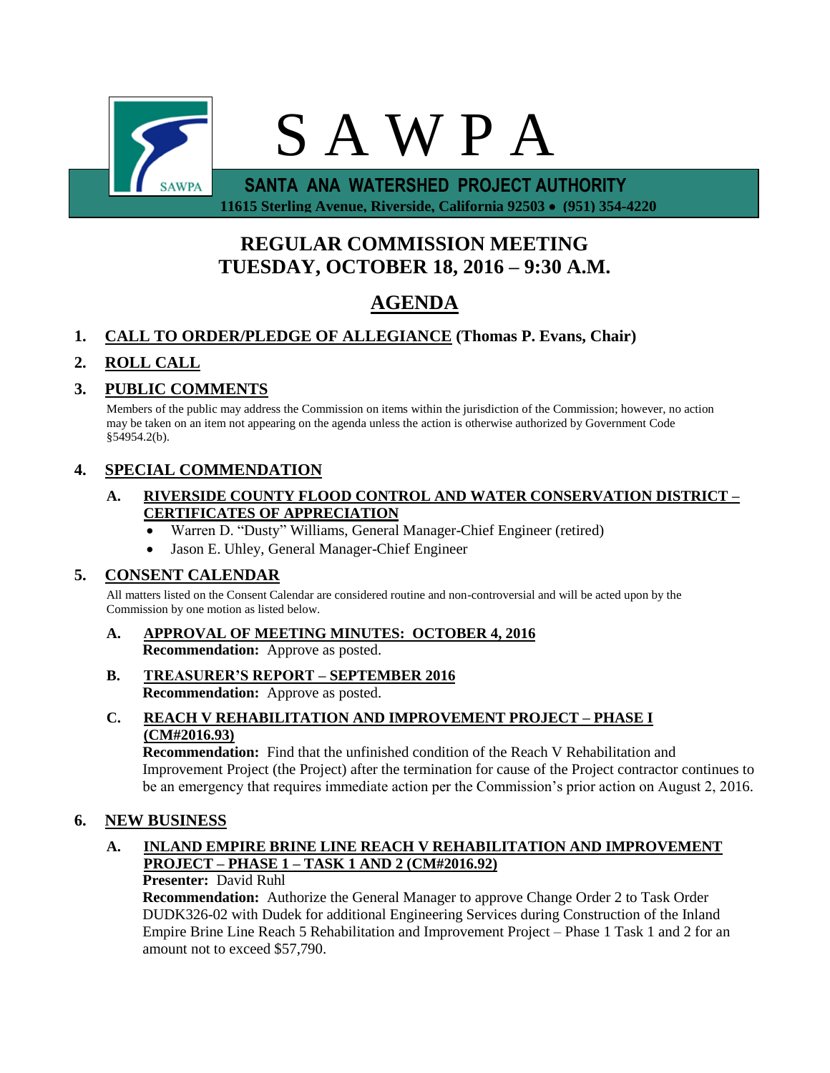

 **11615 Sterling Avenue, Riverside, California 92503 (951) 354-4220**

# **REGULAR COMMISSION MEETING TUESDAY, OCTOBER 18, 2016 – 9:30 A.M.**

# **AGENDA**

# **1. CALL TO ORDER/PLEDGE OF ALLEGIANCE (Thomas P. Evans, Chair)**

# **2. ROLL CALL**

# **3. PUBLIC COMMENTS**

Members of the public may address the Commission on items within the jurisdiction of the Commission; however, no action may be taken on an item not appearing on the agenda unless the action is otherwise authorized by Government Code §54954.2(b).

# **4. SPECIAL COMMENDATION**

#### **A. RIVERSIDE COUNTY FLOOD CONTROL AND WATER CONSERVATION DISTRICT – CERTIFICATES OF APPRECIATION**

- Warren D. "Dusty" Williams, General Manager-Chief Engineer (retired)
- Jason E. Uhley, General Manager-Chief Engineer

# **5. CONSENT CALENDAR**

All matters listed on the Consent Calendar are considered routine and non-controversial and will be acted upon by the Commission by one motion as listed below.

- **A. APPROVAL OF MEETING MINUTES: OCTOBER 4, 2016 Recommendation:** Approve as posted.
- **B. TREASURER'S REPORT – SEPTEMBER 2016 Recommendation:** Approve as posted.
- **C. REACH V REHABILITATION AND IMPROVEMENT PROJECT – PHASE I (CM#2016.93)**

**Recommendation:** Find that the unfinished condition of the Reach V Rehabilitation and Improvement Project (the Project) after the termination for cause of the Project contractor continues to be an emergency that requires immediate action per the Commission's prior action on August 2, 2016.

## **6. NEW BUSINESS**

# **A. INLAND EMPIRE BRINE LINE REACH V REHABILITATION AND IMPROVEMENT PROJECT – PHASE 1 – TASK 1 AND 2 (CM#2016.92)**

**Presenter:** David Ruhl

**Recommendation:** Authorize the General Manager to approve Change Order 2 to Task Order DUDK326-02 with Dudek for additional Engineering Services during Construction of the Inland Empire Brine Line Reach 5 Rehabilitation and Improvement Project – Phase 1 Task 1 and 2 for an amount not to exceed \$57,790.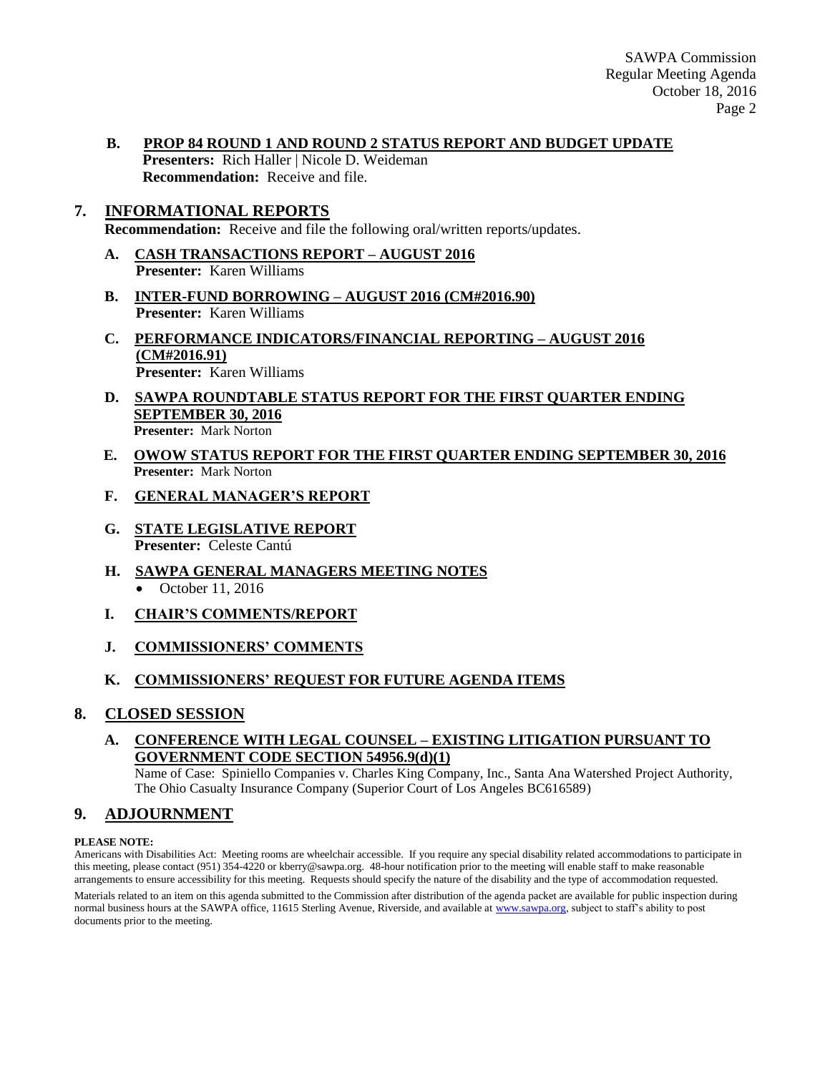SAWPA Commission Regular Meeting Agenda October 18, 2016 Page 2

- **B. PROP 84 ROUND 1 AND ROUND 2 STATUS REPORT AND BUDGET UPDATE** 
	- **Presenters:** Rich Haller | Nicole D. Weideman **Recommendation:** Receive and file.

## **7. INFORMATIONAL REPORTS**

**Recommendation:** Receive and file the following oral/written reports/updates.

- **A. CASH TRANSACTIONS REPORT – AUGUST 2016 Presenter:** Karen Williams
- **B. INTER-FUND BORROWING – AUGUST 2016 (CM#2016.90) Presenter:** Karen Williams
- **C. PERFORMANCE INDICATORS/FINANCIAL REPORTING – AUGUST 2016 (CM#2016.91) Presenter:** Karen Williams
- **D. SAWPA ROUNDTABLE STATUS REPORT FOR THE FIRST QUARTER ENDING SEPTEMBER 30, 2016 Presenter:** Mark Norton
- **E. OWOW STATUS REPORT FOR THE FIRST QUARTER ENDING SEPTEMBER 30, 2016 Presenter:** Mark Norton
- **F. GENERAL MANAGER'S REPORT**
- **G. STATE LEGISLATIVE REPORT Presenter:** Celeste Cantú
- **H. SAWPA GENERAL MANAGERS MEETING NOTES**  $\bullet$  October 11, 2016
- **I. CHAIR'S COMMENTS/REPORT**
- **J. COMMISSIONERS' COMMENTS**

## **K. COMMISSIONERS' REQUEST FOR FUTURE AGENDA ITEMS**

#### **8. CLOSED SESSION**

#### **A. CONFERENCE WITH LEGAL COUNSEL – EXISTING LITIGATION PURSUANT TO GOVERNMENT CODE SECTION 54956.9(d)(1)**

Name of Case: Spiniello Companies v. Charles King Company, Inc., Santa Ana Watershed Project Authority, The Ohio Casualty Insurance Company (Superior Court of Los Angeles BC616589)

# **9. ADJOURNMENT**

#### **PLEASE NOTE:**

Americans with Disabilities Act: Meeting rooms are wheelchair accessible. If you require any special disability related accommodations to participate in this meeting, please contact (951) 354-4220 or kberry@sawpa.org. 48-hour notification prior to the meeting will enable staff to make reasonable arrangements to ensure accessibility for this meeting. Requests should specify the nature of the disability and the type of accommodation requested.

Materials related to an item on this agenda submitted to the Commission after distribution of the agenda packet are available for public inspection during normal business hours at the SAWPA office, 11615 Sterling Avenue, Riverside, and available a[t www.sawpa.org,](http://www.sawpa.org/) subject to staff's ability to post documents prior to the meeting.